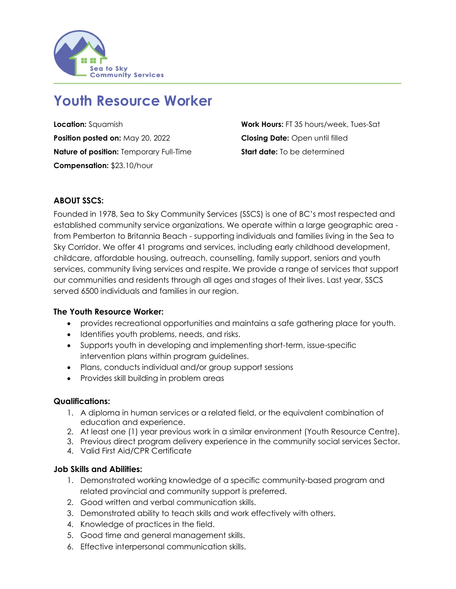

# **Youth Resource Worker**

**Position posted on:** May 20, 2022 **Closing Date:** Open until filled **Nature of position:** Temporary Full-Time **Start date:** To be determined **Compensation:** \$23.10/hour

**Location:** Squamish **Work Hours: FT 35 hours/week, Tues-Sat** 

## **ABOUT SSCS:**

Founded in 1978, Sea to Sky Community Services (SSCS) is one of BC's most respected and established community service organizations. We operate within a large geographic area from Pemberton to Britannia Beach - supporting individuals and families living in the Sea to Sky Corridor. We offer 41 programs and services, including early childhood development, childcare, affordable housing, outreach, counselling, family support, seniors and youth services, community living services and respite. We provide a range of services that support our communities and residents through all ages and stages of their lives. Last year, SSCS served 6500 individuals and families in our region.

#### **The Youth Resource Worker:**

- provides recreational opportunities and maintains a safe gathering place for youth.
- Identifies youth problems, needs, and risks.
- Supports youth in developing and implementing short-term, issue-specific intervention plans within program guidelines.
- Plans, conducts individual and/or group support sessions
- Provides skill building in problem areas

#### **Qualifications:**

- 1. A diploma in human services or a related field, or the equivalent combination of education and experience.
- 2. At least one (1) year previous work in a similar environment (Youth Resource Centre).
- 3. Previous direct program delivery experience in the community social services Sector.
- 4. Valid First Aid/CPR Certificate

#### **Job Skills and Abilities:**

- 1. Demonstrated working knowledge of a specific community-based program and related provincial and community support is preferred.
- 2. Good written and verbal communication skills.
- 3. Demonstrated ability to teach skills and work effectively with others.
- 4. Knowledge of practices in the field.
- 5. Good time and general management skills.
- 6. Effective interpersonal communication skills.